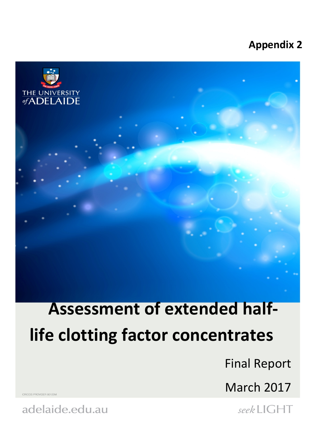### **Appendix 2**



# **Assessment of extended halflife clotting factor concentrates**

Final Report

March 2017

seekLIGHT

**ICOS PROVIDER 00123M** 

adelaide.edu.au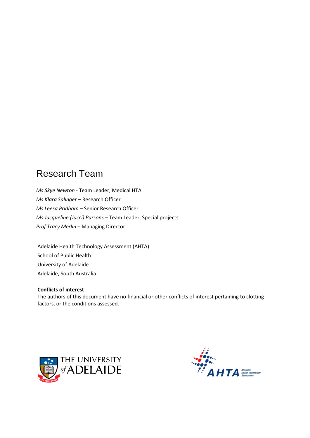### Research Team

*Ms Skye Newton* - Team Leader, Medical HTA *Ms Klara Salinger –* Research Officer *Ms Leesa Pridham –* Senior Research Officer *Ms Jacqueline (Jacci) Parsons* – Team Leader, Special projects *Prof Tracy Merlin* – Managing Director

Adelaide Health Technology Assessment (AHTA) School of Public Health University of Adelaide Adelaide, South Australia

#### **Conflicts of interest**

The authors of this document have no financial or other conflicts of interest pertaining to clotting factors, or the conditions assessed.



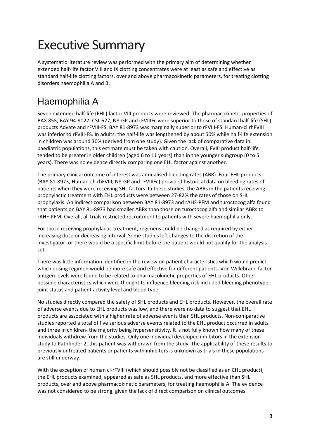## Executive Summary

A systematic literature review was performed with the primary aim of determining whether extended half-life factor VIII and IX clotting concentrates were at least as safe and effective as standard half-life clotting factors, over and above pharmacokinetic parameters, for treating clotting disorders haemophilia A and B.

### Haemophilia A

Seven extended half-life (EHL) factor VIII products were reviewed. The pharmacokinetic properties of BAX 855, BAY 94-9027, CSL 627, N8-GP and rFVIIIFc were superior to those of standard half-life (SHL) products Advate and rFVIII-FS. BAY 81-8973 was marginally superior to rFVIII-FS. Human-cl rhFVIII was inferior to rFVIII-FS. In adults, the half-life was lengthened by about 50% while half-life extension in children was around 30% (derived from one study). Given the lack of comparative data in paediatric populations, this estimate must be taken with caution. Overall, FVIII product half-life tended to be greater in older children (aged 6 to 11 years) than in the younger subgroup (0 to 5 years). There was no evidence directly comparing one EHL factor against another.

The primary clinical outcome of interest was annualised bleeding rates (ABR). Four EHL products (BAY 81-8973, Human-ch rhFVIII, N8-GP and rFVIIIFc) provided historical data on bleeding rates of patients when they were receiving SHL factors. In these studies, the ABRs in the patients receiving prophylactic treatment with EHL products were between 27-82% the rates of those on SHL prophylaxis. An indirect comparison between BAY 81-8973 and rAHF-PFM and turoctocog alfa found that patients on BAY 81-8973 had smaller ABRs than those on turoctocog alfa and similar ABRs to rAHF-PFM. Overall, all trials restricted recruitment to patients with severe haemophilia only.

For those receiving prophylactic treatment, regimens could be changed as required by either increasing dose or decreasing interval. Some studies left changes to the discretion of the investigator- or there would be a specific limit before the patient would not qualify for the analysis set.

There was little information identified in the review on patient characteristics which would predict which dosing regimen would be more safe and effective for different patients. Von Willebrand factor antigen levels were found to be related to pharmacokinetic properties of EHL products. Other possible characteristics which were thought to influence bleeding risk included bleeding phenotype, joint status and patient activity level and blood type.

No studies directly compared the safety of SHL products and EHL products. However, the overall rate of adverse events due to EHL products was low, and there were no data to suggest that EHL products are associated with a higher rate of adverse events than SHL products. Non-comparative studies reported a total of five serious adverse events related to the EHL product occurred in adults and three in children- the majority being hypersensitivity. It is not fully known how many of these individuals withdrew from the studies. Only one individual developed inhibitors in the extension study to Pathfinder 2, this patient was withdrawn from the study. The applicability of these results to previously untreated patients or patients with inhibitors is unknown as trials in these populations are still underway.

With the exception of human cl-rFVIII (which should possibly not be classified as an EHL product), the EHL products examined, appeared as safe as SHL products, and more effective than SHL products, over and above pharmacokinetic parameters, for treating haemophilia A. The evidence was not considered to be strong, given the lack of direct comparison on clinical outcomes.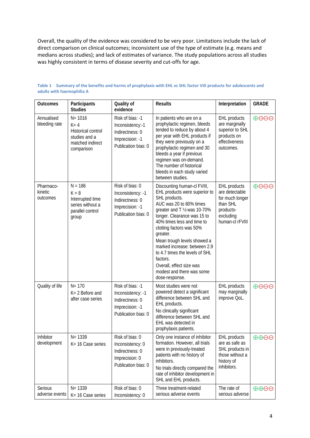Overall, the quality of the evidence was considered to be very poor. Limitations include the lack of direct comparison on clinical outcomes; inconsistent use of the type of estimate (e.g. means and medians across studies); and lack of estimates of variance. The study populations across all studies was highly consistent in terms of disease severity and cut-offs for age.

| <b>Outcomes</b>                  | Participants<br><b>Studies</b>                                                                        | Quality of<br>evidence                                                                             | <b>Results</b>                                                                                                                                                                                                                                                                                                                                                                                                                        | Interpretation                                                                                                    | <b>GRADE</b>                    |
|----------------------------------|-------------------------------------------------------------------------------------------------------|----------------------------------------------------------------------------------------------------|---------------------------------------------------------------------------------------------------------------------------------------------------------------------------------------------------------------------------------------------------------------------------------------------------------------------------------------------------------------------------------------------------------------------------------------|-------------------------------------------------------------------------------------------------------------------|---------------------------------|
| Annualised<br>bleeding rate      | $N = 1016$<br>$K = 4$<br><b>Historical control</b><br>studies and a<br>matched indirect<br>comparison | Risk of bias: -1<br>Inconsistency:-1<br>Indirectness: 0<br>Imprecision: -1<br>Publication bias: 0  | In patients who are on a<br>prophylactic regimen, bleeds<br>tended to reduce by about 4<br>per year with EHL products if<br>they were previously on a<br>prophylactic regimen and 30<br>bleeds a year if previous<br>regimen was on-demand.<br>The number of historical<br>bleeds in each study varied<br>between studies.                                                                                                            | <b>EHL</b> products<br>are marginally<br>superior to SHL<br>products on<br>effectiveness<br>outcomes.             | $\theta$ $\Theta$ $\Theta$      |
| Pharmaco-<br>kinetic<br>outcomes | $N = 186$<br>$K = 8$<br>Interrupted time<br>series without a<br>parallel control<br>group             | Risk of bias: 0<br>Inconsistency: -1<br>Indirectness: 0<br>Imprecision: -1<br>Publication bias: 0  | Discounting human-cl FVIII,<br>EHL products were superior to<br>SHL products.<br>AUC was 20 to 80% times<br>greater and T 1/2 was 10-70%<br>longer. Clearance was 15 to<br>40% times less and time to<br>clotting factors was 50%<br>greater.<br>Mean trough levels showed a<br>marked increase: between 2.9<br>to 4.7 times the levels of SHL<br>factors.<br>Overall, effect size was<br>modest and there was some<br>dose-response. | <b>EHL</b> products<br>are detectable<br>for much longer<br>than SHL<br>products-<br>excluding<br>human-cl rFVIII | $\oplus$ $\ominus$ $\ominus$    |
| Quality of life                  | $N = 170$<br>$K = 2$ Before and<br>after case series                                                  | Risk of bias: -1<br>Inconsistency: -1<br>Indirectness: 0<br>Imprecision: -1<br>Publication bias: 0 | Most studies were not<br>powered detect a significant<br>difference between SHL and<br>EHL products.<br>No clinically significant<br>difference between SHL and<br>EHL was detected in<br>prophylaxis patients.                                                                                                                                                                                                                       | <b>EHL</b> products<br>may marginally<br>improve QoL.                                                             | $\oplus$ $\ominus$ $\ominus$    |
| Inhibitor<br>development         | $N = 1339$<br>K= 16 Case series                                                                       | Risk of bias: 0<br>Inconsistency: 0<br>Indirectness: 0<br>Imprecision: 0<br>Publication bias: 0    | Only one instance of inhibitor<br>formation. However, all trials<br>were in previously-treated<br>patients with no history of<br>inhibitors.<br>No trials directly compared the<br>rate of inhibitor development in<br>SHL and EHL products.                                                                                                                                                                                          | <b>EHL</b> products<br>are as safe as<br>SHL products in<br>those without a<br>history of<br>inhibitors.          | $\oplus \oplus \ominus$         |
| Serious<br>adverse events        | $N = 1339$<br>K= 16 Case series                                                                       | Risk of bias: 0<br>Inconsistency: 0                                                                | Three treatment-related<br>serious adverse events                                                                                                                                                                                                                                                                                                                                                                                     | The rate of<br>serious adverse                                                                                    | $\oplus \oplus \ominus \ominus$ |

**Table 1 Summary of the benefits and harms of prophylaxis with EHL vs SHL factor VIII products for adolescents and adults with haemophilia A**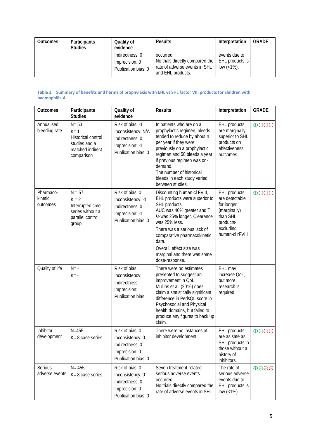| <b>Outcomes</b> | Participants<br><b>Studies</b> | Quality of<br>evidence                                   | <b>Results</b>                                                                                     | Interpretation                                      | <b>GRADE</b> |
|-----------------|--------------------------------|----------------------------------------------------------|----------------------------------------------------------------------------------------------------|-----------------------------------------------------|--------------|
|                 |                                | Indirectness: 0<br>Imprecision: 0<br>Publication bias: 0 | occurred.<br>No trials directly compared the<br>rate of adverse events in SHL<br>and EHL products. | events due to<br>EHL products is<br>$low (< 1\%)$ . |              |

#### **Table 2 Summary of benefits and harms of prophylaxis with EHL vs SHL factor VIII products for children with haemophilia A**

| <b>Outcomes</b>                  | Participants<br><b>Studies</b>                                                                      | Quality of<br>evidence                                                                              | <b>Results</b>                                                                                                                                                                                                                                                                                                   | Interpretation                                                                                                        | <b>GRADE</b>                        |
|----------------------------------|-----------------------------------------------------------------------------------------------------|-----------------------------------------------------------------------------------------------------|------------------------------------------------------------------------------------------------------------------------------------------------------------------------------------------------------------------------------------------------------------------------------------------------------------------|-----------------------------------------------------------------------------------------------------------------------|-------------------------------------|
| Annualised<br>bleeding rate      | $N = 53$<br>$K = 1$<br><b>Historical control</b><br>studies and a<br>matched indirect<br>comparison | Risk of bias: -1<br>Inconsistency: N/A<br>Indirectness: 0<br>Imprecision: -1<br>Publication bias: 0 | In patients who are on a<br>prophylactic regimen, bleeds<br>tended to reduce by about 4<br>per year if they were<br>previously on a prophylactic<br>regimen and 50 bleeds a year<br>if previous regimen was on-<br>demand.<br>The number of historical<br>bleeds in each study varied<br>between studies.        | EHL products<br>are marginally<br>superior to SHL<br>products on<br>effectiveness<br>outcomes.                        | $\bigoplus$ $\bigoplus$ $\bigoplus$ |
| Pharmaco-<br>kinetic<br>outcomes | $N = 57$<br>$K = 2$<br>Interrupted time<br>series without a<br>parallel control<br>group            | Risk of bias: 0<br>Inconsistency: -1<br>Indirectness: 0<br>Imprecision: -1<br>Publication bias: 0   | Discounting human-cl FVIII,<br>EHL products were superior to<br>SHL products.<br>AUC was 40% greater and T<br>1/2 was 25% longer. Clearance<br>was 25% less.<br>There was a serious lack of<br>comparative pharmacokinetic<br>data.<br>Overall, effect size was<br>marginal and there was some<br>dose-response. | EHL products<br>are detectable<br>for longer<br>(marginally)<br>than SHL<br>products-<br>excluding<br>human-cl rFVIII | $\oplus$ $\ominus$ $\ominus$        |
| Quality of life                  | $N = -$<br>$K = -$                                                                                  | Risk of bias:<br>Inconsistency:<br>Indirectness:<br>Imprecision:<br>Publication bias:               | There were no estimates<br>presented to suggest an<br>improvement in QoL.<br>Mullins et al. (2016) does<br>claim a statistically significant<br>difference in PedsQL score in<br>Psychosocial and Physical<br>health domains, but failed to<br>produce any figures to back up<br>claim.                          | EHL may<br>increase OoL,<br>but more<br>research is<br>required.                                                      |                                     |
| Inhibitor<br>development         | $N = 455$<br>K= 8 case series                                                                       | Risk of bias: 0<br>Inconsistency: 0<br>Indirectness: 0<br>Imprecision: 0<br>Publication bias: 0     | There were no instances of<br>inhibitor development.                                                                                                                                                                                                                                                             | EHL products<br>are as safe as<br>SHL products in<br>those without a<br>history of<br>inhibitors.                     | $\oplus \oplus \ominus$             |
| Serious<br>adverse events        | $N = 455$<br>K= 8 case series                                                                       | Risk of bias: 0<br>Inconsistency: 0<br>Indirectness: 0<br>Imprecision: 0<br>Publication bias: 0     | Seven treatment-related<br>serious adverse events<br>occurred.<br>No trials directly compared the<br>rate of adverse events in SHL                                                                                                                                                                               | The rate of<br>serious adverse<br>events due to<br>EHL products is<br>low $($ $\times$ <sup>1</sup> %).               | $\oplus \oplus \ominus \ominus$     |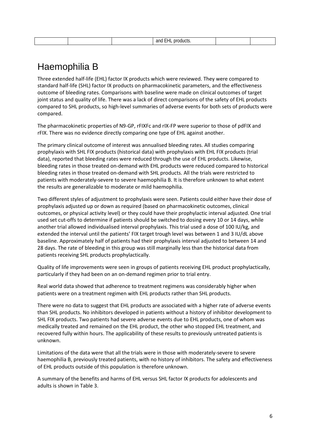|--|

### Haemophilia B

Three extended half-life (EHL) factor IX products which were reviewed. They were compared to standard half-life (SHL) factor IX products on pharmacokinetic parameters, and the effectiveness outcome of bleeding rates. Comparisons with baseline were made on clinical outcomes of target joint status and quality of life. There was a lack of direct comparisons of the safety of EHL products compared to SHL products, so high-level summaries of adverse events for both sets of products were compared.

The pharmacokinetic properties of N9-GP, rFIXFc and rIX-FP were superior to those of pdFIX and rFIX. There was no evidence directly comparing one type of EHL against another.

The primary clinical outcome of interest was annualised bleeding rates. All studies comparing prophylaxis with SHL FIX products (historical data) with prophylaxis with EHL FIX products (trial data), reported that bleeding rates were reduced through the use of EHL products. Likewise, bleeding rates in those treated on-demand with EHL products were reduced compared to historical bleeding rates in those treated on-demand with SHL products. All the trials were restricted to patients with moderately-severe to severe haemophilia B. It is therefore unknown to what extent the results are generalizable to moderate or mild haemophilia.

Two different styles of adjustment to prophylaxis were seen. Patients could either have their dose of prophylaxis adjusted up or down as required (based on pharmacokinetic outcomes, clinical outcomes, or physical activity level) or they could have their prophylactic interval adjusted. One trial used set cut-offs to determine if patients should be switched to dosing every 10 or 14 days, while another trial allowed individualised interval prophylaxis. This trial used a dose of 100 IU/kg, and extended the interval until the patients' FIX target trough level was between 1 and 3 IU/dL above baseline. Approximately half of patients had their prophylaxis interval adjusted to between 14 and 28 days. The rate of bleeding in this group was still marginally less than the historical data from patients receiving SHL products prophylactically.

Quality of life improvements were seen in groups of patients receiving EHL product prophylactically, particularly if they had been on an on-demand regimen prior to trial entry.

Real world data showed that adherence to treatment regimens was considerably higher when patients were on a treatment regimen with EHL products rather than SHL products.

There were no data to suggest that EHL products are associated with a higher rate of adverse events than SHL products. No inhibitors developed in patients without a history of inhibitor development to SHL FIX products. Two patients had severe adverse events due to EHL products, one of whom was medically treated and remained on the EHL product, the other who stopped EHL treatment, and recovered fully within hours. The applicability of these results to previously untreated patients is unknown.

Limitations of the data were that all the trials were in those with moderately-severe to severe haemophilia B, previously treated patients, with no history of inhibitors. The safety and effectiveness of EHL products outside of this population is therefore unknown.

A summary of the benefits and harms of EHL versus SHL factor IX products for adolescents and adults is shown in [Table 3.](#page-6-0)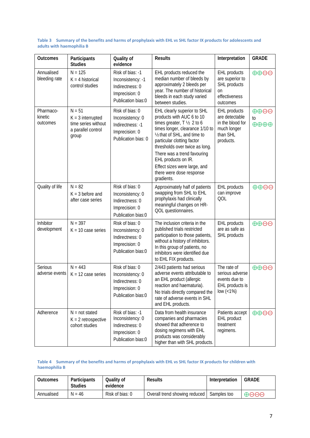| Outcomes                         | Participants<br><b>Studies</b>                                                        | Quality of<br>evidence                                                                           | <b>Results</b>                                                                                                                                                                                                                                                                                                                                                       | Interpretation                                                                                    | <b>GRADE</b>                                                           |
|----------------------------------|---------------------------------------------------------------------------------------|--------------------------------------------------------------------------------------------------|----------------------------------------------------------------------------------------------------------------------------------------------------------------------------------------------------------------------------------------------------------------------------------------------------------------------------------------------------------------------|---------------------------------------------------------------------------------------------------|------------------------------------------------------------------------|
| Annualised<br>bleeding rate      | $N = 125$<br>$K = 4$ historical<br>control studies                                    | Risk of bias: -1<br>Inconsistency: -1<br>Indirectness: 0<br>Imprecision: 0<br>Publication bias:0 | EHL products reduced the<br>median number of bleeds by<br>approximately 2 bleeds per<br>year. The number of historical<br>bleeds in each study varied<br>between studies.                                                                                                                                                                                            | <b>EHL</b> products<br>are superior to<br>SHL products<br>on<br>effectiveness<br>outcomes         | $\oplus \oplus \ominus$                                                |
| Pharmaco-<br>kinetic<br>outcomes | $N = 51$<br>$K = 3$ interrupted<br>time series without<br>a parallel control<br>group | Risk of bias: 0<br>Inconsistency: 0<br>Indirectness: -1<br>Imprecision: 0<br>Publication bias: 0 | EHL clearly superior to SHL<br>products with AUC 6 to 10<br>times greater, $T \frac{1}{2}$ 2 to 6<br>times longer, clearance 1/10 to<br>1/2 that of SHL, and time to<br>particular clotting factor<br>thresholds over twice as long.<br>There was a trend favouring<br>EHL products on IR.<br>Effect sizes were large, and<br>there were dose response<br>gradients. | <b>EHL</b> products<br>are detectable<br>in the blood for<br>much longer<br>than SHL<br>products. | $\oplus \oplus \ominus \ominus$<br>to<br>$\oplus \oplus \oplus \oplus$ |
| Quality of life                  | $N = 82$<br>$K = 3$ before and<br>after case series                                   | Risk of bias: 0<br>Inconsistency: 0<br>Indirectness: 0<br>Imprecision: 0<br>Publication bias:0   | Approximately half of patients<br>swapping from SHL to EHL<br>prophylaxis had clinically<br>meaningful changes on HR-<br>QOL questionnaires.                                                                                                                                                                                                                         | <b>EHL</b> products<br>can improve<br>QOL                                                         | $\oplus \oplus \ominus \ominus$                                        |
| Inhibitor<br>development         | $N = 397$<br>$K = 10$ case series                                                     | Risk of bias: 0<br>Inconsistency: 0<br>Indirectness: 0<br>Imprecision: 0<br>Publication bias:0   | The inclusion criteria in the<br>published trials restricted<br>participation to those patients,<br>without a history of inhibitors.<br>In this group of patients, no<br>inhibitors were identified due<br>to EHL FIX products.                                                                                                                                      | EHL products<br>are as safe as<br>SHL products                                                    | $\oplus \oplus \ominus \ominus$                                        |
| Serious<br>adverse events        | $N = 443$<br>$K = 12$ case series                                                     | Risk of bias: 0<br>Inconsistency: 0<br>Indirectness: 0<br>Imprecision: 0<br>Publication bias:0   | 2/443 patients had serious<br>adverse events attributable to<br>an EHL product (allergic<br>reaction and haematuria).<br>No trials directly compared the<br>rate of adverse events in SHL<br>and EHL products.                                                                                                                                                       | The rate of<br>serious adverse<br>events due to<br>EHL products is<br>low $($ < 1%)               | $\oplus \oplus \ominus \ominus$                                        |
| Adherence                        | $N = not stated$<br>$K = 2$ retrospective<br>cohort studies                           | Risk of bias: -1<br>Inconsistency: 0<br>Indirectness: 0<br>Imprecision: 0<br>Publication bias:0  | Data from health insurance<br>companies and pharmacies<br>showed that adherence to<br>dosing regimens with EHL<br>products was considerably<br>higher than with SHL products.                                                                                                                                                                                        | Patients accept<br>EHL product<br>treatment<br>regimens.                                          | $\oplus \oplus \ominus \ominus$                                        |

#### <span id="page-6-0"></span>**Table 3 Summary of the benefits and harms of prophylaxis with EHL vs SHL factor IX products for adolescents and adults with haemophilia B**

#### **Table 4 Summary of the benefits and harms of prophylaxis with EHL vs SHL factor IX products for children with haemophilia B**

| <b>Outcomes</b> | Participants<br>Studies | Qualitv of<br>evidence | Results                       | Interpretation | GRADE                        |
|-----------------|-------------------------|------------------------|-------------------------------|----------------|------------------------------|
| Annualised      | N = 46                  | Risk of bias: 0        | Overall trend showing reduced | Samples too    | $\oplus$ $\ominus$ $\ominus$ |